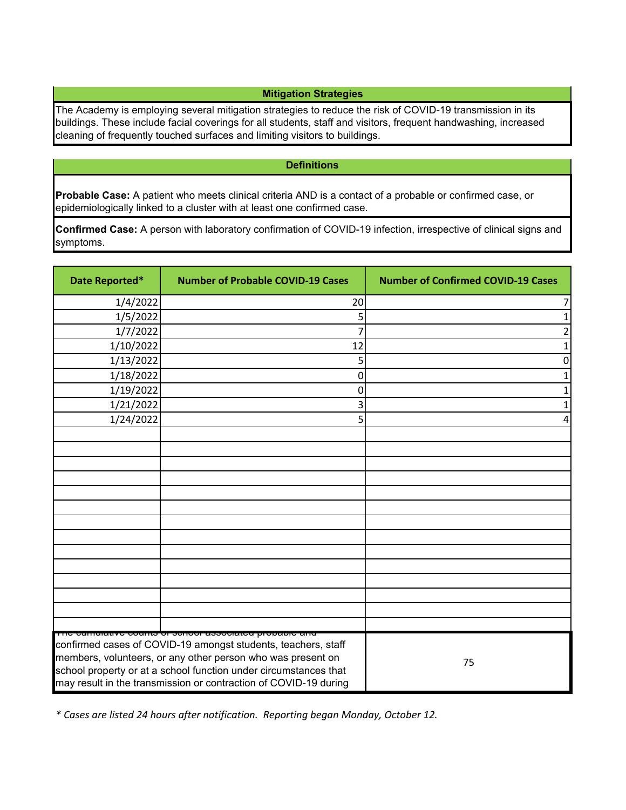## **Mitigation Strategies**

The Academy is employing several mitigation strategies to reduce the risk of COVID-19 transmission in its buildings. These include facial coverings for all students, staff and visitors, frequent handwashing, increased cleaning of frequently touched surfaces and limiting visitors to buildings.

## **Definitions**

**Probable Case:** A patient who meets clinical criteria AND is a contact of a probable or confirmed case, or epidemiologically linked to a cluster with at least one confirmed case.

**Confirmed Case:** A person with laboratory confirmation of COVID-19 infection, irrespective of clinical signs and symptoms.

| Date Reported*                                                                                                                                                                                                                                                                                                                     | <b>Number of Probable COVID-19 Cases</b> | <b>Number of Confirmed COVID-19 Cases</b> |
|------------------------------------------------------------------------------------------------------------------------------------------------------------------------------------------------------------------------------------------------------------------------------------------------------------------------------------|------------------------------------------|-------------------------------------------|
| 1/4/2022                                                                                                                                                                                                                                                                                                                           | 20                                       | 7                                         |
| 1/5/2022                                                                                                                                                                                                                                                                                                                           | 5                                        | 1                                         |
| 1/7/2022                                                                                                                                                                                                                                                                                                                           |                                          | 2                                         |
| 1/10/2022                                                                                                                                                                                                                                                                                                                          | 12                                       |                                           |
| 1/13/2022                                                                                                                                                                                                                                                                                                                          | 5                                        | 0                                         |
| 1/18/2022                                                                                                                                                                                                                                                                                                                          | 0                                        |                                           |
| 1/19/2022                                                                                                                                                                                                                                                                                                                          | 0                                        |                                           |
| 1/21/2022                                                                                                                                                                                                                                                                                                                          | 3                                        |                                           |
| 1/24/2022                                                                                                                                                                                                                                                                                                                          | 5                                        |                                           |
|                                                                                                                                                                                                                                                                                                                                    |                                          |                                           |
|                                                                                                                                                                                                                                                                                                                                    |                                          |                                           |
|                                                                                                                                                                                                                                                                                                                                    |                                          |                                           |
|                                                                                                                                                                                                                                                                                                                                    |                                          |                                           |
|                                                                                                                                                                                                                                                                                                                                    |                                          |                                           |
|                                                                                                                                                                                                                                                                                                                                    |                                          |                                           |
|                                                                                                                                                                                                                                                                                                                                    |                                          |                                           |
|                                                                                                                                                                                                                                                                                                                                    |                                          |                                           |
|                                                                                                                                                                                                                                                                                                                                    |                                          |                                           |
|                                                                                                                                                                                                                                                                                                                                    |                                          |                                           |
|                                                                                                                                                                                                                                                                                                                                    |                                          |                                           |
|                                                                                                                                                                                                                                                                                                                                    |                                          |                                           |
|                                                                                                                                                                                                                                                                                                                                    |                                          |                                           |
| <u>mo camalatto coamo el centrol acconatoa propapio am</u><br>confirmed cases of COVID-19 amongst students, teachers, staff<br>members, volunteers, or any other person who was present on<br>school property or at a school function under circumstances that<br>may result in the transmission or contraction of COVID-19 during |                                          | 75                                        |

*\* Cases are listed 24 hours after notification. Reporting began Monday, October 12.*